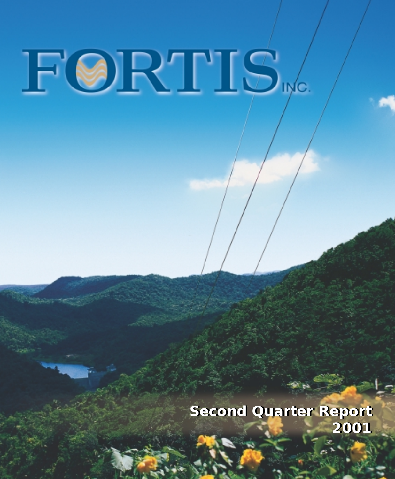**Second Quarter Report Second Quarter Report 2001 2001**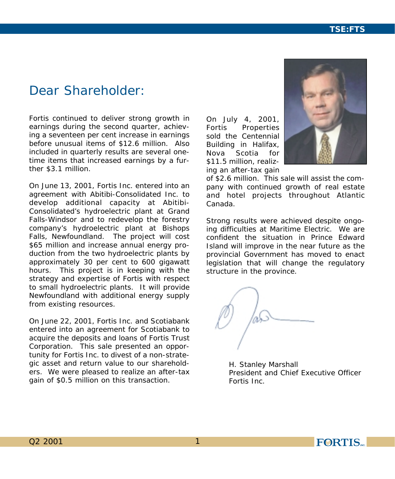# *Dear Shareholder:*

*Fortis continued to deliver strong growth in earnings during the second quarter, achieving a seventeen per cent increase in earnings before unusual items of \$12.6 million. Also included in quarterly results are several onetime items that increased earnings by a further \$3.1 million.*

*On June 13, 2001, Fortis Inc. entered into an agreement with Abitibi-Consolidated Inc. to develop additional capacity at Abitibi-Consolidated's hydroelectric plant at Grand Falls-Windsor and to redevelop the forestry company's hydroelectric plant at Bishops Falls, Newfoundland. The project will cost \$65 million and increase annual energy production from the two hydroelectric plants by approximately 30 per cent to 600 gigawatt hours. This project is in keeping with the strategy and expertise of Fortis with respect to small hydroelectric plants. It will provide Newfoundland with additional energy supply from existing resources.*

*On June 22, 2001, Fortis Inc. and Scotiabank entered into an agreement for Scotiabank to acquire the deposits and loans of Fortis Trust Corporation. This sale presented an opportunity for Fortis Inc. to divest of a non-strategic asset and return value to our shareholders. We were pleased to realize an after-tax gain of \$0.5 million on this transaction.*

*On July 4, 2001, Fortis Properties sold the Centennial Building in Halifax, Nova Scotia for \$11.5 million, realizing an after-tax gain*



*of \$2.6 million. This sale will assist the company with continued growth of real estate and hotel projects throughout Atlantic Canada.*

*Strong results were achieved despite ongoing difficulties at Maritime Electric. We are confident the situation in Prince Edward Island will improve in the near future as the provincial Government has moved to enact legislation that will change the regulatory structure in the province.*

*H. Stanley Marshall President and Chief Executive Officer Fortis Inc.*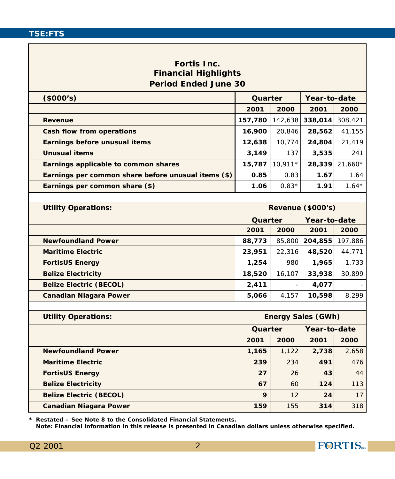# **Fortis Inc. Financial Highlights Period Ended June 30**

| (\$000's)                                           | Quarter |         | Year-to-date              |           |
|-----------------------------------------------------|---------|---------|---------------------------|-----------|
|                                                     | 2001    | 2000    | 2001                      | 2000      |
| Revenue                                             | 157,780 | 142,638 | 338,014                   | 308,421   |
| Cash flow from operations                           | 16,900  | 20,846  | 28,562                    | 41,155    |
| Earnings before unusual items                       | 12,638  | 10,774  | 24,804                    | 21,419    |
| <b>Unusual items</b>                                | 3,149   | 137     | 3,535                     | 241       |
| Earnings applicable to common shares                | 15,787  | 10,911* | 28,339                    | $21,660*$ |
| Earnings per common share before unusual items (\$) | 0.85    | 0.83    | 1.67                      | 1.64      |
| Earnings per common share (\$)                      | 1.06    | $0.83*$ | 1.91                      | $1.64*$   |
|                                                     |         |         |                           |           |
| <b>Utility Operations:</b>                          |         |         | Revenue (\$000's)         |           |
|                                                     | Quarter |         | Year-to-date              |           |
|                                                     | 2001    | 2000    | 2001                      | 2000      |
| <b>Newfoundland Power</b>                           | 88,773  | 85,800  | 204,855                   | 197,886   |
| <b>Maritime Electric</b>                            | 23,951  | 22,316  | 48,520                    | 44,771    |
| <b>FortisUS Energy</b>                              | 1,254   | 980     | 1,965                     | 1,733     |
| <b>Belize Electricity</b>                           | 18,520  | 16,107  | 33,938                    | 30,899    |
| <b>Belize Electric (BECOL)</b>                      | 2,411   |         | 4,077                     |           |
| Canadian Niagara Power                              | 5,066   | 4,157   | 10,598                    | 8,299     |
|                                                     |         |         |                           |           |
| <b>Utility Operations:</b>                          |         |         | <b>Energy Sales (GWh)</b> |           |
|                                                     | Quarter |         | Year-to-date              |           |
|                                                     | 2001    | 2000    | 2001                      | 2000      |
| <b>Newfoundland Power</b>                           | 1,165   | 1,122   | 2,738                     | 2,658     |
| <b>Maritime Electric</b>                            | 239     | 234     | 491                       | 476       |
| <b>FortisUS Energy</b>                              | 27      | 26      | 43                        | 44        |
| <b>Belize Electricity</b>                           | 67      | 60      | 124                       | 113       |
| <b>Belize Electric (BECOL)</b>                      | 9       | 12      | 24                        | 17        |
| <b>Canadian Niagara Power</b>                       | 159     | 155     | 314                       | 318       |

*\* Restated – See Note 8 to the Consolidated Financial Statements.*

*Note: Financial information in this release is presented in Canadian dollars unless otherwise specified.*

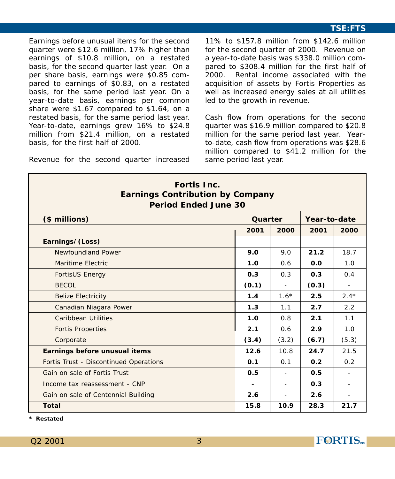Earnings before unusual items for the second quarter were \$12.6 million, 17% higher than earnings of \$10.8 million, on a restated basis, for the second quarter last year. On a per share basis, earnings were \$0.85 compared to earnings of \$0.83, on a restated basis, for the same period last year. On a year-to-date basis, earnings per common share were \$1.67 compared to \$1.64, on a restated basis, for the same period last year. Year-to-date, earnings grew 16% to \$24.8 million from \$21.4 million, on a restated basis, for the first half of 2000.

Revenue for the second quarter increased

11% to \$157.8 million from \$142.6 million for the second quarter of 2000. Revenue on a year-to-date basis was \$338.0 million compared to \$308.4 million for the first half of 2000. Rental income associated with the acquisition of assets by Fortis Properties as well as increased energy sales at all utilities led to the growth in revenue.

Cash flow from operations for the second quarter was \$16.9 million compared to \$20.8 million for the same period last year. Yearto-date, cash flow from operations was \$28.6 million compared to \$41.2 million for the same period last year.

| Fortis Inc.<br><b>Earnings Contribution by Company</b><br>Period Ended June 30 |         |                          |              |                          |
|--------------------------------------------------------------------------------|---------|--------------------------|--------------|--------------------------|
| (\$ millions)                                                                  | Quarter |                          | Year-to-date |                          |
|                                                                                | 2001    | 2000                     | 2001         | 2000                     |
| Earnings/(Loss)                                                                |         |                          |              |                          |
| Newfoundland Power                                                             | 9.0     | 9.0                      | 21.2         | 18.7                     |
| Maritime Electric                                                              | 1.0     | 0.6                      | 0.0          | 1.0                      |
| <b>FortisUS Energy</b>                                                         | 0.3     | 0.3                      | 0.3          | 0.4                      |
| <b>BECOL</b>                                                                   | (0.1)   | $\blacksquare$           | (0.3)        | $\blacksquare$           |
| <b>Belize Electricity</b>                                                      | 1.4     | $1.6*$                   | 2.5          | $2.4*$                   |
| Canadian Niagara Power                                                         | 1.3     | 1.1                      | 2.7          | 2.2                      |
| Caribbean Utilities                                                            | 1.0     | 0.8                      | 2.1          | 1.1                      |
| <b>Fortis Properties</b>                                                       | 2.1     | 0.6                      | 2.9          | 1.0                      |
| Corporate                                                                      | (3.4)   | (3.2)                    | (6.7)        | (5.3)                    |
| Earnings before unusual items                                                  | 12.6    | 10.8                     | 24.7         | 21.5                     |
| Fortis Trust - Discontinued Operations                                         | 0.1     | 0.1                      | 0.2          | 0.2                      |
| Gain on sale of Fortis Trust                                                   | 0.5     |                          | 0.5          |                          |
| Income tax reassessment - CNP                                                  |         | $\overline{\phantom{a}}$ | 0.3          | $\overline{\phantom{a}}$ |
| Gain on sale of Centennial Building                                            | 2.6     |                          | 2.6          |                          |
| Total                                                                          | 15.8    | 10.9                     | 28.3         | 21.7                     |

*\* Restated*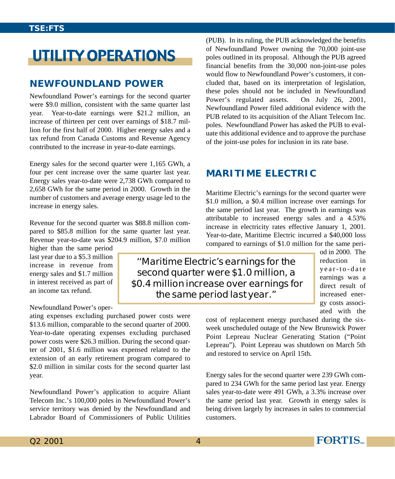# UTILITY OPERATIONS

# **NEWFOUNDLAND POWER**

Newfoundland Power's earnings for the second quarter were \$9.0 million, consistent with the same quarter last year. Year-to-date earnings were \$21.2 million, an increase of thirteen per cent over earnings of \$18.7 million for the first half of 2000. Higher energy sales and a tax refund from Canada Customs and Revenue Agency contributed to the increase in year-to-date earnings.

Energy sales for the second quarter were 1,165 GWh, a four per cent increase over the same quarter last year. Energy sales year-to-date were 2,738 GWh compared to 2,658 GWh for the same period in 2000. Growth in the number of customers and average energy usage led to the increase in energy sales.

Revenue for the second quarter was \$88.8 million compared to \$85.8 million for the same quarter last year. Revenue year-to-date was \$204.9 million, \$7.0 million

higher than the same period last year due to a \$5.3 million increase in revenue from energy sales and \$1.7 million in interest received as part of an income tax refund.

#### Newfoundland Power's oper-

ating expenses excluding purchased power costs were \$13.6 million, comparable to the second quarter of 2000. Year-to-date operating expenses excluding purchased power costs were \$26.3 million. During the second quarter of 2001, \$1.6 million was expensed related to the extension of an early retirement program compared to \$2.0 million in similar costs for the second quarter last year.

Newfoundland Power's application to acquire Aliant Telecom Inc.'s 100,000 poles in Newfoundland Power's service territory was denied by the Newfoundland and Labrador Board of Commissioners of Public Utilities

(PUB). In its ruling, the PUB acknowledged the benefits of Newfoundland Power owning the 70,000 joint-use poles outlined in its proposal. Although the PUB agreed financial benefits from the 30,000 non-joint-use poles would flow to Newfoundland Power's customers, it concluded that, based on its interpretation of legislation, these poles should not be included in Newfoundland Power's regulated assets. On July 26, 2001, Newfoundland Power filed additional evidence with the PUB related to its acquisition of the Aliant Telecom Inc. poles. Newfoundland Power has asked the PUB to evaluate this additional evidence and to approve the purchase of the joint-use poles for inclusion in its rate base.

# **MARITIME ELECTRIC**

Maritime Electric's earnings for the second quarter were \$1.0 million, a \$0.4 million increase over earnings for the same period last year. The growth in earnings was attributable to increased energy sales and a 4.53% increase in electricity rates effective January 1, 2001. Year-to-date, Maritime Electric incurred a \$40,000 loss compared to earnings of \$1.0 million for the same peri-

''Maritime Electric's earnings for the second quarter were \$1.0 million, a \$0.4 million increase over earnings for the same period last year."

od in 2000. The reduction in year-to-date earnings was a direct result of increased energy costs associated with the

cost of replacement energy purchased during the sixweek unscheduled outage of the New Brunswick Power Point Lepreau Nuclear Generating Station ("Point Lepreau"). Point Lepreau was shutdown on March 5th and restored to service on April 15th.

Energy sales for the second quarter were 239 GWh compared to 234 GWh for the same period last year. Energy sales year-to-date were 491 GWh, a 3.3% increase over the same period last year. Growth in energy sales is being driven largely by increases in sales to commercial customers.

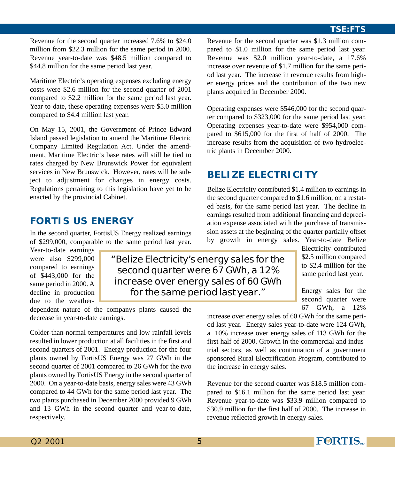Revenue for the second quarter increased 7.6% to \$24.0 million from \$22.3 million for the same period in 2000. Revenue year-to-date was \$48.5 million compared to \$44.8 million for the same period last year.

Maritime Electric's operating expenses excluding energy costs were \$2.6 million for the second quarter of 2001 compared to \$2.2 million for the same period last year. Year-to-date, these operating expenses were \$5.0 million compared to \$4.4 million last year.

On May 15, 2001, the Government of Prince Edward Island passed legislation to amend the Maritime Electric Company Limited Regulation Act. Under the amendment, Maritime Electric's base rates will still be tied to rates charged by New Brunswick Power for equivalent services in New Brunswick. However, rates will be subject to adjustment for changes in energy costs. Regulations pertaining to this legislation have yet to be enacted by the provincial Cabinet.

# **FORTIS US ENERGY**

In the second quarter, FortisUS Energy realized earnings of \$299,000, comparable to the same period last year.

Year-to-date earnings were also \$299,000 compared to earnings of \$443,000 for the same period in 2000. A decline in production due to the weather-

"Belize Electricity's energy sales for the second quarter were 67 GWh, a 12% increase over energy sales of 60 GWh for the same period last year."

dependent nature of the companys plants caused the decrease in year-to-date earnings.

Colder-than-normal temperatures and low rainfall levels resulted in lower production at all facilities in the first and second quarters of 2001. Energy production for the four plants owned by FortisUS Energy was 27 GWh in the second quarter of 2001 compared to 26 GWh for the two plants owned by FortisUS Energy in the second quarter of 2000. On a year-to-date basis, energy sales were 43 GWh compared to 44 GWh for the same period last year. The two plants purchased in December 2000 provided 9 GWh and 13 GWh in the second quarter and year-to-date, respectively.

Revenue for the second quarter was \$1.3 million compared to \$1.0 million for the same period last year. Revenue was \$2.0 million year-to-date, a 17.6% increase over revenue of \$1.7 million for the same period last year. The increase in revenue results from higher energy prices and the contribution of the two new plants acquired in December 2000.

Operating expenses were \$546,000 for the second quarter compared to \$323,000 for the same period last year. Operating expenses year-to-date were \$954,000 compared to \$615,000 for the first of half of 2000. The increase results from the acquisition of two hydroelectric plants in December 2000.

# **BELIZE ELECTRICITY**

Belize Electricity contributed \$1.4 million to earnings in the second quarter compared to \$1.6 million, on a restated basis, for the same period last year. The decline in earnings resulted from additional financing and depreciation expense associated with the purchase of transmission assets at the beginning of the quarter partially offset by growth in energy sales. Year-to-date Belize

Electricity contributed \$2.5 million compared to \$2.4 million for the same period last year.

Energy sales for the second quarter were 67 GWh, a 12%

increase over energy sales of 60 GWh for the same period last year. Energy sales year-to-date were 124 GWh, a 10% increase over energy sales of 113 GWh for the first half of 2000. Growth in the commercial and industrial sectors, as well as continuation of a government sponsored Rural Electrification Program, contributed to the increase in energy sales.

Revenue for the second quarter was \$18.5 million compared to \$16.1 million for the same period last year. Revenue year-to-date was \$33.9 million compared to \$30.9 million for the first half of 2000. The increase in revenue reflected growth in energy sales.

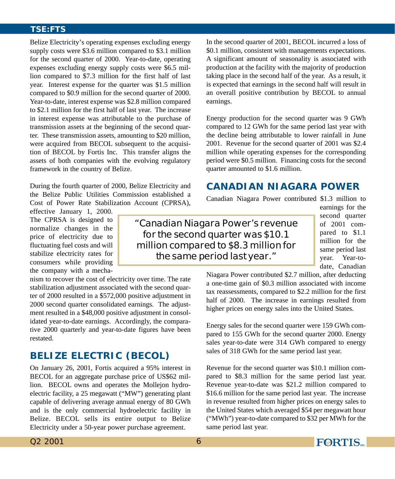Belize Electricity's operating expenses excluding energy supply costs were \$3.6 million compared to \$3.1 million for the second quarter of 2000. Year-to-date, operating expenses excluding energy supply costs were \$6.5 million compared to \$7.3 million for the first half of last year. Interest expense for the quarter was \$1.5 million compared to \$0.9 million for the second quarter of 2000. Year-to-date, interest expense was \$2.8 million compared to \$2.1 million for the first half of last year. The increase in interest expense was attributable to the purchase of transmission assets at the beginning of the second quarter. These transmission assets, amounting to \$20 million, were acquired from BECOL subsequent to the acquisition of BECOL by Fortis Inc. This transfer aligns the assets of both companies with the evolving regulatory framework in the country of Belize.

During the fourth quarter of 2000, Belize Electricity and the Belize Public Utilities Commission established a Cost of Power Rate Stabilization Account (CPRSA),

effective January 1, 2000. The CPRSA is designed to normalize changes in the price of electricity due to fluctuating fuel costs and will stabilize electricity rates for consumers while providing the company with a mecha-

nism to recover the cost of electricity over time. The rate stabilization adjustment associated with the second quarter of 2000 resulted in a \$572,000 positive adjustment in 2000 second quarter consolidated earnings. The adjustment resulted in a \$48,000 positive adjustment in consolidated year-to-date earnings. Accordingly, the comparative 2000 quarterly and year-to-date figures have been restated.

# **BELIZE ELECTRIC (BECOL)**

On January 26, 2001, Fortis acquired a 95% interest in BECOL for an aggregate purchase price of US\$62 million. BECOL owns and operates the Mollejon hydroelectric facility, a 25 megawatt ("MW") generating plant capable of delivering average annual energy of 80 GWh and is the only commercial hydroelectric facility in Belize. BECOL sells its entire output to Belize Electricity under a 50-year power purchase agreement.

In the second quarter of 2001, BECOL incurred a loss of \$0.1 million, consistent with managements expectations. A significant amount of seasonality is associated with production at the facility with the majority of production taking place in the second half of the year. As a result, it is expected that earnings in the second half will result in an overall positive contribution by BECOL to annual earnings.

Energy production for the second quarter was 9 GWh compared to 12 GWh for the same period last year with the decline being attributable to lower rainfall in June 2001. Revenue for the second quarter of 2001 was \$2.4 million while operating expenses for the corresponding period were \$0.5 million. Financing costs for the second quarter amounted to \$1.6 million.

# **CANADIAN NIAGARA POWER**

Canadian Niagara Power contributed \$1.3 million to

earnings for the second quarter of 2001 compared to \$1.1 million for the same period last year. Year-todate, Canadian

"Canadian Niagara Power's revenue for the second quarter was \$10.1 million compared to \$8.3 million for the same period last year."

> Niagara Power contributed \$2.7 million, after deducting a one-time gain of \$0.3 million associated with income tax reassessments, compared to \$2.2 million for the first half of 2000. The increase in earnings resulted from higher prices on energy sales into the United States.

> Energy sales for the second quarter were 159 GWh compared to 155 GWh for the second quarter 2000. Energy sales year-to-date were 314 GWh compared to energy sales of 318 GWh for the same period last year.

> Revenue for the second quarter was \$10.1 million compared to \$8.3 million for the same period last year. Revenue year-to-date was \$21.2 million compared to \$16.6 million for the same period last year. The increase in revenue resulted from higher prices on energy sales to the United States which averaged \$54 per megawatt hour ("MWh") year-to-date compared to \$32 per MWh for the same period last year.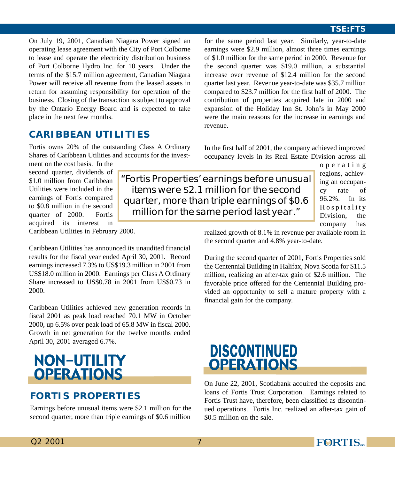On July 19, 2001, Canadian Niagara Power signed an operating lease agreement with the City of Port Colborne to lease and operate the electricity distribution business of Port Colborne Hydro Inc. for 10 years. Under the terms of the \$15.7 million agreement, Canadian Niagara Power will receive all revenue from the leased assets in return for assuming responsibility for operation of the business. Closing of the transaction is subject to approval by the Ontario Energy Board and is expected to take place in the next few months.

for the same period last year. Similarly, year-to-date earnings were \$2.9 million, almost three times earnings of \$1.0 million for the same period in 2000. Revenue for the second quarter was \$19.0 million, a substantial increase over revenue of \$12.4 million for the second quarter last year. Revenue year-to-date was \$35.7 million compared to \$23.7 million for the first half of 2000. The contribution of properties acquired late in 2000 and expansion of the Holiday Inn St. John's in May 2000 were the main reasons for the increase in earnings and revenue.

In the first half of 2001, the company achieved improved occupancy levels in its Real Estate Division across all

# **CARIBBEAN UTILITIES**

Fortis owns 20% of the outstanding Class A Ordinary Shares of Caribbean Utilities and accounts for the invest-

ment on the cost basis. In the second quarter, dividends of \$1.0 million from Caribbean Utilities were included in the earnings of Fortis compared to \$0.8 million in the second quarter of 2000. Fortis acquired its interest in Caribbean Utilities in February 2000.

Caribbean Utilities has announced its unaudited financial results for the fiscal year ended April 30, 2001. Record earnings increased 7.3% to US\$19.3 million in 2001 from US\$18.0 million in 2000. Earnings per Class A Ordinary Share increased to US\$0.78 in 2001 from US\$0.73 in 2000.

Caribbean Utilities achieved new generation records in fiscal 2001 as peak load reached 70.1 MW in October 2000, up 6.5% over peak load of 65.8 MW in fiscal 2000. Growth in net generation for the twelve months ended April 30, 2001 averaged 6.7%.

# NON-UTILITY **OPERATIONS**

# **FORTIS PROPERTIES**

Earnings before unusual items were \$2.1 million for the second quarter, more than triple earnings of \$0.6 million

"Fortis Properties' earnings before unusual items were \$2.1 million for the second quarter, more than triple earnings of \$0.6 million for the same period last year."

operating regions, achieving an occupancy rate of 96.2%. In its Hospitality Division, the company has

realized growth of 8.1% in revenue per available room in the second quarter and 4.8% year-to-date.

During the second quarter of 2001, Fortis Properties sold the Centennial Building in Halifax, Nova Scotia for \$11.5 million, realizing an after-tax gain of \$2.6 million. The favorable price offered for the Centennial Building provided an opportunity to sell a mature property with a financial gain for the company.



On June 22, 2001, Scotiabank acquired the deposits and loans of Fortis Trust Corporation. Earnings related to Fortis Trust have, therefore, been classified as discontinued operations. Fortis Inc. realized an after-tax gain of \$0.5 million on the sale.

Q2 2001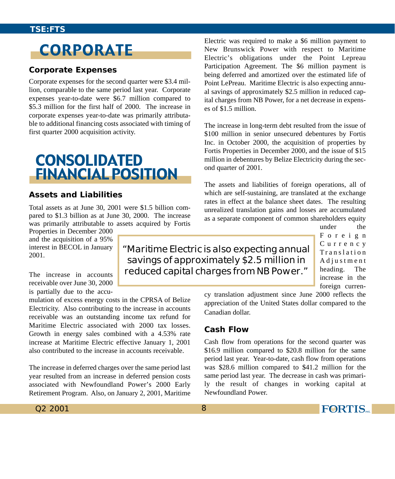# **CORPORATE**

#### **Corporate Expenses**

Corporate expenses for the second quarter were \$3.4 million, comparable to the same period last year. Corporate expenses year-to-date were \$6.7 million compared to \$5.3 million for the first half of 2000. The increase in corporate expenses year-to-date was primarily attributable to additional financing costs associated with timing of first quarter 2000 acquisition activity.

# **CONSOLIDATED FINANCIAL POSITION**

#### **Assets and Liabilities**

Total assets as at June 30, 2001 were \$1.5 billion compared to \$1.3 billion as at June 30, 2000. The increase was primarily attributable to assets acquired by Fortis

Properties in December 2000 and the acquisition of a 95% interest in BECOL in January 2001.

The increase in accounts receivable over June 30, 2000 is partially due to the accu-

mulation of excess energy costs in the CPRSA of Belize Electricity. Also contributing to the increase in accounts receivable was an outstanding income tax refund for Maritime Electric associated with 2000 tax losses. Growth in energy sales combined with a 4.53% rate increase at Maritime Electric effective January 1, 2001 also contributed to the increase in accounts receivable.

The increase in deferred charges over the same period last year resulted from an increase in deferred pension costs associated with Newfoundland Power's 2000 Early Retirement Program. Also, on January 2, 2001, Maritime Electric was required to make a \$6 million payment to New Brunswick Power with respect to Maritime Electric's obligations under the Point Lepreau Participation Agreement. The \$6 million payment is being deferred and amortized over the estimated life of Point LePreau. Maritime Electric is also expecting annual savings of approximately \$2.5 million in reduced capital charges from NB Power, for a net decrease in expenses of \$1.5 million.

The increase in long-term debt resulted from the issue of \$100 million in senior unsecured debentures by Fortis Inc. in October 2000, the acquisition of properties by Fortis Properties in December 2000, and the issue of \$15 million in debentures by Belize Electricity during the second quarter of 2001.

The assets and liabilities of foreign operations, all of which are self-sustaining, are translated at the exchange rates in effect at the balance sheet dates. The resulting unrealized translation gains and losses are accumulated as a separate component of common shareholders equity

under the Foreign Currency Translation Adjustment heading. The increase in the foreign curren-

savings of approximately \$2.5 million in reduced capital charges from NB Power."

cy translation adjustment since June 2000 reflects the appreciation of the United States dollar compared to the Canadian dollar.

#### **Cash Flow**

"Maritime Electric is also expecting annual

Cash flow from operations for the second quarter was \$16.9 million compared to \$20.8 million for the same period last year. Year-to-date, cash flow from operations was \$28.6 million compared to \$41.2 million for the same period last year. The decrease in cash was primarily the result of changes in working capital at Newfoundland Power.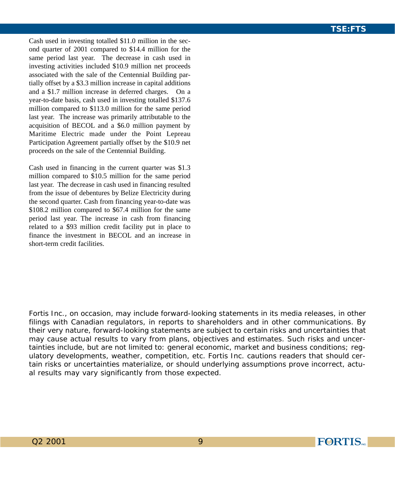Cash used in investing totalled \$11.0 million in the second quarter of 2001 compared to \$14.4 million for the same period last year. The decrease in cash used in investing activities included \$10.9 million net proceeds associated with the sale of the Centennial Building partially offset by a \$3.3 million increase in capital additions and a \$1.7 million increase in deferred charges. On a year-to-date basis, cash used in investing totalled \$137.6 million compared to \$113.0 million for the same period last year. The increase was primarily attributable to the acquisition of BECOL and a \$6.0 million payment by Maritime Electric made under the Point Lepreau Participation Agreement partially offset by the \$10.9 net proceeds on the sale of the Centennial Building.

Cash used in financing in the current quarter was \$1.3 million compared to \$10.5 million for the same period last year. The decrease in cash used in financing resulted from the issue of debentures by Belize Electricity during the second quarter. Cash from financing year-to-date was \$108.2 million compared to \$67.4 million for the same period last year. The increase in cash from financing related to a \$93 million credit facility put in place to finance the investment in BECOL and an increase in short-term credit facilities.

*Fortis Inc., on occasion, may include forward-looking statements in its media releases, in other filings with Canadian regulators, in reports to shareholders and in other communications. By their very nature, forward-looking statements are subject to certain risks and uncertainties that may cause actual results to vary from plans, objectives and estimates. Such risks and uncertainties include, but are not limited to: general economic, market and business conditions; regulatory developments, weather, competition, etc. Fortis Inc. cautions readers that should certain risks or uncertainties materialize, or should underlying assumptions prove incorrect, actual results may vary significantly from those expected.*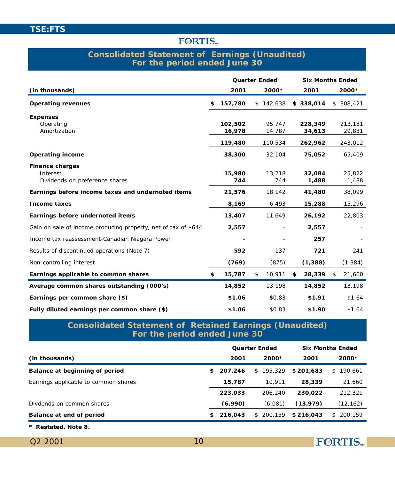#### **Consolidated Statement of Earnings (Unaudited) For the period ended June 30**

|                                                                | Quarter Ended     |                  | <b>Six Months Ended</b> |                   |
|----------------------------------------------------------------|-------------------|------------------|-------------------------|-------------------|
| (in thousands)                                                 | 2001              | 2000*            | 2001                    | 2000*             |
| Operating revenues                                             | \$<br>157,780     | \$142,638        | \$338,014               | \$308,421         |
| <b>Expenses</b>                                                |                   |                  |                         |                   |
| Operating<br>Amortization                                      | 102,502<br>16,978 | 95,747<br>14,787 | 228,349<br>34,613       | 213,181<br>29,831 |
|                                                                |                   |                  |                         |                   |
|                                                                | 119,480           | 110,534          | 262,962                 | 243,012           |
| Operating income                                               | 38,300            | 32,104           | 75,052                  | 65,409            |
| Finance charges                                                |                   |                  |                         |                   |
| Interest                                                       | 15,980            | 13,218           | 32.084                  | 25,822            |
| Dividends on preference shares                                 | 744               | 744              | 1,488                   | 1,488             |
| Earnings before income taxes and undernoted items              | 21,576            | 18,142           | 41,480                  | 38,099            |
| Income taxes                                                   | 8,169             | 6,493            | 15,288                  | 15,296            |
| Earnings before undernoted items                               | 13,407            | 11,649           | 26,192                  | 22,803            |
| Gain on sale of income producing property, net of tax of \$644 | 2,557             |                  | 2,557                   |                   |
| Income tax reassessment-Canadian Niagara Power                 |                   |                  | 257                     |                   |
| Results of discontinued operations (Note 7)                    | 592               | 137              | 721                     | 241               |
| Non-controlling interest                                       | (769)             | (875)            | (1, 388)                | (1, 384)          |
| Earnings applicable to common shares                           | \$<br>15,787      | \$<br>10,911     | \$<br>28,339            | \$<br>21,660      |
| Average common shares outstanding (000's)                      | 14,852            | 13,198           | 14,852                  | 13,198            |
| Earnings per common share (\$)                                 | \$1.06            | \$0.83           | \$1.91                  | \$1.64            |
| Fully diluted earnings per common share (\$)                   | \$1.06            | \$0.83           | \$1.90                  | \$1.64            |

**Consolidated Statement of Retained Earnings (Unaudited) For the period ended June 30**

|                                      |               | <b>Quarter Ended</b> |           | <b>Six Months Ended</b> |
|--------------------------------------|---------------|----------------------|-----------|-------------------------|
| (in thousands)                       | 2001          | $2000*$              | 2001      | $2000*$                 |
| Balance at beginning of period       | \$<br>207.246 | 195.329<br>S.        | \$201.683 | 190.661<br>S            |
| Earnings applicable to common shares | 15,787        | 10.911               | 28,339    | 21,660                  |
|                                      | 223.033       | 206.240              | 230,022   | 212.321                 |
| Divdends on common shares            | (6,990)       | (6,081)              | (13, 979) | (12, 162)               |
| Balance at end of period             | \$<br>216,043 | \$200.159            | \$216.043 | 200.159<br>S            |
|                                      |               |                      |           |                         |

*\* Restated, Note 8.*

Q2 2001

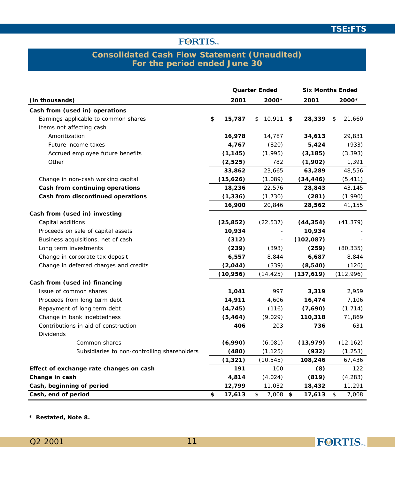# **FORTIS**

#### **Consolidated Cash Flow Statement (Unaudited) For the period ended June 30**

|                                              | Quarter Ended |                   | <b>Six Months Ended</b> |              |
|----------------------------------------------|---------------|-------------------|-------------------------|--------------|
| (in thousands)                               | 2001          | 2000*             | 2001                    | 2000*        |
| Cash from (used in) operations               |               |                   |                         |              |
| Earnings applicable to common shares         | \$<br>15,787  | \$<br>$10,911$ \$ | 28,339                  | \$<br>21,660 |
| Items not affecting cash                     |               |                   |                         |              |
| Amoritization                                | 16,978        | 14,787            | 34,613                  | 29,831       |
| Future income taxes                          | 4,767         | (820)             | 5,424                   | (933)        |
| Accrued employee future benefits             | (1, 145)      | (1,995)           | (3, 185)                | (3, 393)     |
| Other                                        | (2,525)       | 782               | (1,902)                 | 1,391        |
|                                              | 33,862        | 23,665            | 63,289                  | 48,556       |
| Change in non-cash working capital           | (15,626)      | (1,089)           | (34, 446)               | (5, 411)     |
| Cash from continuing operations              | 18,236        | 22,576            | 28,843                  | 43,145       |
| Cash from discontinued operations            | (1, 336)      | (1, 730)          | (281)                   | (1,990)      |
|                                              | 16,900        | 20,846            | 28,562                  | 41,155       |
| Cash from (used in) investing                |               |                   |                         |              |
| Capital additions                            | (25, 852)     | (22, 537)         | (44, 354)               | (41, 379)    |
| Proceeds on sale of capital assets           | 10,934        |                   | 10,934                  |              |
| Business acquisitions, net of cash           | (312)         |                   | (102, 087)              |              |
| Long term investments                        | (239)         | (393)             | (259)                   | (80, 335)    |
| Change in corporate tax deposit              | 6,557         | 8,844             | 6,687                   | 8,844        |
| Change in deferred charges and credits       | (2,044)       | (339)             | (8, 540)                | (126)        |
|                                              | (10, 956)     | (14, 425)         | (137,619)               | (112, 996)   |
| Cash from (used in) financing                |               |                   |                         |              |
| Issue of common shares                       | 1,041         | 997               | 3,319                   | 2,959        |
| Proceeds from long term debt                 | 14,911        | 4,606             | 16,474                  | 7,106        |
| Repayment of long term debt                  | (4, 745)      | (116)             | (7,690)                 | (1, 714)     |
| Change in bank indebtedness                  | (5, 464)      | (9,029)           | 110,318                 | 71,869       |
| Contributions in aid of construction         | 406           | 203               | 736                     | 631          |
| <b>Dividends</b>                             |               |                   |                         |              |
| Common shares                                | (6,990)       | (6,081)           | (13, 979)               | (12, 162)    |
| Subsidiaries to non-controlling shareholders | (480)         | (1, 125)          | (932)                   | (1, 253)     |
|                                              | (1, 321)      | (10, 545)         | 108,246                 | 67,436       |
| Effect of exchange rate changes on cash      | 191           | 100               | (8)                     | 122          |
| Change in cash                               | 4,814         | (4,024)           | (819)                   | (4, 283)     |
| Cash, beginning of period                    | 12,799        | 11,032            | 18,432                  | 11,291       |
| Cash, end of period                          | \$<br>17,613  | \$<br>7,008       | \$<br>17,613            | \$<br>7,008  |

*\* Restated, Note 8.*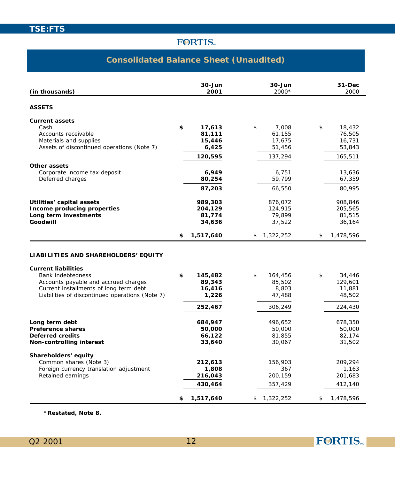# **Consolidated Balance Sheet (Unaudited)**

| (in thousands)                                                                                                                                                                       | 30-Jun<br>2001                                            | 30-Jun<br>2000*                                       | 31-Dec<br>2000                                            |
|--------------------------------------------------------------------------------------------------------------------------------------------------------------------------------------|-----------------------------------------------------------|-------------------------------------------------------|-----------------------------------------------------------|
| <b>ASSETS</b>                                                                                                                                                                        |                                                           |                                                       |                                                           |
| Current assets<br>Cash<br>Accounts receivable<br>Materials and supplies<br>Assets of discontinued operations (Note 7)                                                                | \$<br>17,613<br>81,111<br>15,446<br>6,425<br>120,595      | \$<br>7,008<br>61,155<br>17,675<br>51,456<br>137,294  | \$<br>18,432<br>76,505<br>16,731<br>53,843<br>165,511     |
| Other assets<br>Corporate income tax deposit<br>Deferred charges                                                                                                                     | 6,949<br>80,254<br>87,203                                 | 6,751<br>59,799<br>66,550                             | 13,636<br>67,359<br>80,995                                |
| Utilities' capital assets<br>Income producing properties<br>Long term investments<br>Goodwill                                                                                        | 989,303<br>204,129<br>81,774<br>34,636                    | 876,072<br>124,915<br>79,899<br>37,522                | 908,846<br>205,565<br>81,515<br>36,164                    |
|                                                                                                                                                                                      | \$<br>1,517,640                                           | \$<br>1,322,252                                       | \$<br>1,478,596                                           |
| LIABILITIES AND SHAREHOLDERS' EQUITY                                                                                                                                                 |                                                           |                                                       |                                                           |
| <b>Current liabilities</b><br>Bank indebtedness<br>Accounts payable and accrued charges<br>Current installments of long term debt<br>Liabilities of discontinued operations (Note 7) | \$<br>145,482<br>89,343<br>16,416<br>1,226<br>252,467     | \$<br>164,456<br>85,502<br>8,803<br>47,488<br>306,249 | \$<br>34,446<br>129,601<br>11,881<br>48,502<br>224,430    |
| Long term debt<br>Preference shares<br>Deferred credits<br>Non-controlling interest                                                                                                  | 684,947<br>50,000<br>66,122<br>33,640                     | 496,652<br>50,000<br>81,855<br>30,067                 | 678,350<br>50,000<br>82,174<br>31,502                     |
| Shareholders' equity<br>Common shares (Note 3)<br>Foreign currency translation adjustment<br>Retained earnings                                                                       | \$<br>212,613<br>1,808<br>216,043<br>430,464<br>1,517,640 | 156,903<br>367<br>200,159<br>357,429<br>\$1,322,252   | \$<br>209,294<br>1,163<br>201,683<br>412,140<br>1,478,596 |

*\*Restated, Note 8.*

FORTIS<sub>MC</sub>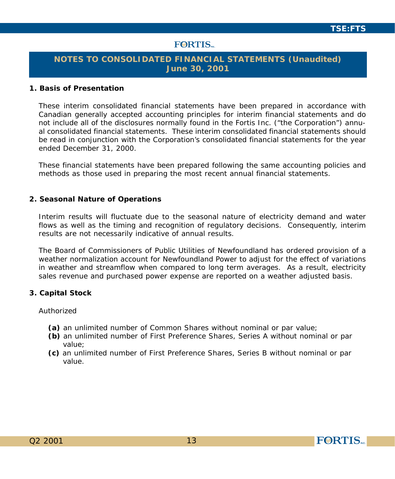# **FORTIS**

### **NOTES TO CONSOLIDATED FINANCIAL STATEMENTS (Unaudited) June 30, 2001**

#### **1. Basis of Presentation**

These interim consolidated financial statements have been prepared in accordance with Canadian generally accepted accounting principles for interim financial statements and do not include all of the disclosures normally found in the Fortis Inc. ("the Corporation") annual consolidated financial statements. These interim consolidated financial statements should be read in conjunction with the Corporation's consolidated financial statements for the year ended December 31, 2000.

These financial statements have been prepared following the same accounting policies and methods as those used in preparing the most recent annual financial statements.

#### **2. Seasonal Nature of Operations**

Interim results will fluctuate due to the seasonal nature of electricity demand and water flows as well as the timing and recognition of regulatory decisions. Consequently, interim results are not necessarily indicative of annual results.

The Board of Commissioners of Public Utilities of Newfoundland has ordered provision of a weather normalization account for Newfoundland Power to adjust for the effect of variations in weather and streamflow when compared to long term averages. As a result, electricity sales revenue and purchased power expense are reported on a weather adjusted basis.

#### **3. Capital Stock**

#### Authorized

- **(a)** an unlimited number of Common Shares without nominal or par value;
- **(b)** an unlimited number of First Preference Shares, Series A without nominal or par value;
- **(c)** an unlimited number of First Preference Shares, Series B without nominal or par value.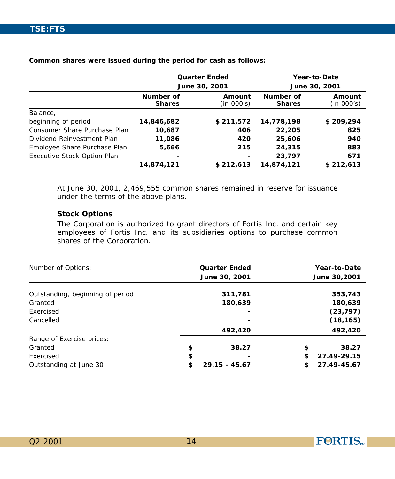**Common shares were issued during the period for cash as follows:**

|                              |                            | <b>Quarter Ended</b> |                            | Year-to-Date         |
|------------------------------|----------------------------|----------------------|----------------------------|----------------------|
|                              |                            | June 30, 2001        |                            | June 30, 2001        |
|                              | Number of<br><b>Shares</b> | Amount<br>(in 000's) | Number of<br><b>Shares</b> | Amount<br>(in 000's) |
| Balance,                     |                            |                      |                            |                      |
| beginning of period          | 14,846,682                 | \$211,572            | 14.778.198                 | \$209,294            |
| Consumer Share Purchase Plan | 10,687                     | 406                  | 22,205                     | 825                  |
| Dividend Reinvestment Plan   | 11,086                     | 420                  | 25,606                     | 940                  |
| Employee Share Purchase Plan | 5,666                      | 215                  | 24,315                     | 883                  |
| Executive Stock Option Plan  |                            |                      | 23,797                     | 671                  |
|                              | 14,874,121                 | \$212,613            | 14,874,121                 | \$212,613            |

At June 30, 2001, 2,469,555 common shares remained in reserve for issuance under the terms of the above plans.

#### **Stock Options**

The Corporation is authorized to grant directors of Fortis Inc. and certain key employees of Fortis Inc. and its subsidiaries options to purchase common shares of the Corporation.

| Number of Options:               | <b>Quarter Ended</b>  | Year-to-Date      |
|----------------------------------|-----------------------|-------------------|
|                                  | June 30, 2001         | June 30,2001      |
|                                  |                       |                   |
| Outstanding, beginning of period | 311,781               | 353,743           |
| Granted                          | 180,639               | 180,639           |
| Exercised                        |                       | (23, 797)         |
| Cancelled                        |                       | (18, 165)         |
|                                  | 492,420               | 492,420           |
| Range of Exercise prices:        |                       |                   |
| Granted                          | \$<br>38.27           | 38.27<br>\$       |
| Exercised                        | \$                    | \$<br>27.49-29.15 |
| Outstanding at June 30           | \$<br>$29.15 - 45.67$ | 27.49-45.67<br>\$ |

**FORTIS**<sub>NC.</sub>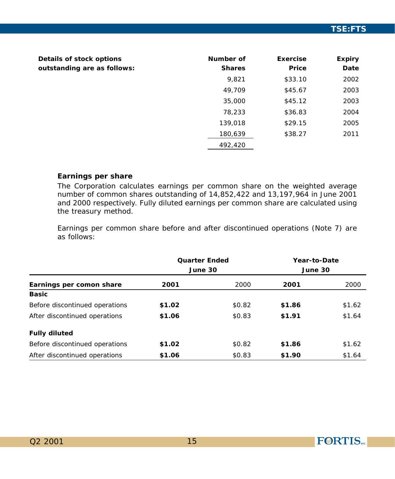| Details of stock options<br>outstanding are as follows: | Number of<br><b>Shares</b> | Exercise<br>Price | Expiry<br>Date |
|---------------------------------------------------------|----------------------------|-------------------|----------------|
|                                                         | 9,821                      | \$33.10           | 2002           |
|                                                         | 49.709                     | \$45.67           | 2003           |
|                                                         | 35,000                     | \$45.12           | 2003           |
|                                                         | 78,233                     | \$36.83           | 2004           |
|                                                         | 139,018                    | \$29.15           | 2005           |
|                                                         | 180,639                    | \$38.27           | 2011           |
|                                                         | 492,420                    |                   |                |

#### **Earnings per share**

The Corporation calculates earnings per common share on the weighted average number of common shares outstanding of 14,852,422 and 13,197,964 in June 2001 and 2000 respectively. Fully diluted earnings per common share are calculated using the treasury method.

Earnings per common share before and after discontinued operations (Note 7) are as follows:

|                                | <b>Quarter Ended</b><br>June 30 |        | Year-to-Date<br>June 30 |        |
|--------------------------------|---------------------------------|--------|-------------------------|--------|
| Earnings per comon share       | 2001                            | 2000   | 2001                    | 2000   |
| <b>Basic</b>                   |                                 |        |                         |        |
| Before discontinued operations | \$1.02                          | \$0.82 | \$1.86                  | \$1.62 |
| After discontinued operations  | \$1.06                          | \$0.83 | \$1.91                  | \$1.64 |
| <b>Fully diluted</b>           |                                 |        |                         |        |
| Before discontinued operations | \$1.02                          | \$0.82 | \$1.86                  | \$1.62 |
| After discontinued operations  | \$1.06                          | \$0.83 | \$1.90                  | \$1.64 |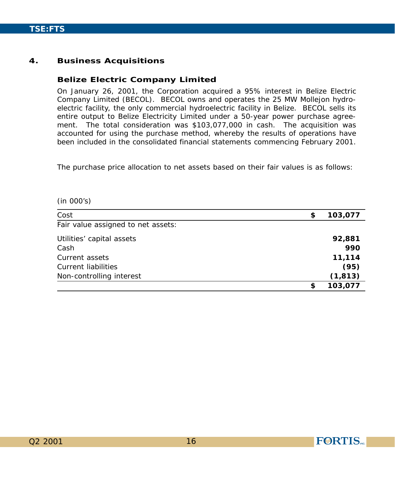#### **4. Business Acquisitions**

#### **Belize Electric Company Limited**

On January 26, 2001, the Corporation acquired a 95% interest in Belize Electric Company Limited (BECOL). BECOL owns and operates the 25 MW Mollejon hydroelectric facility, the only commercial hydroelectric facility in Belize. BECOL sells its entire output to Belize Electricity Limited under a 50-year power purchase agreement. The total consideration was \$103,077,000 in cash. The acquisition was accounted for using the purchase method, whereby the results of operations have been included in the consolidated financial statements commencing February 2001.

The purchase price allocation to net assets based on their fair values is as follows:

(in 000's)

| Cost                               | \$<br>103,077 |
|------------------------------------|---------------|
| Fair value assigned to net assets: |               |
| Utilities' capital assets          | 92,881        |
| Cash                               | 990           |
| Current assets                     | 11,114        |
| Current liabilities                | (95)          |
| Non-controlling interest           | (1, 813)      |
|                                    | \$<br>103,077 |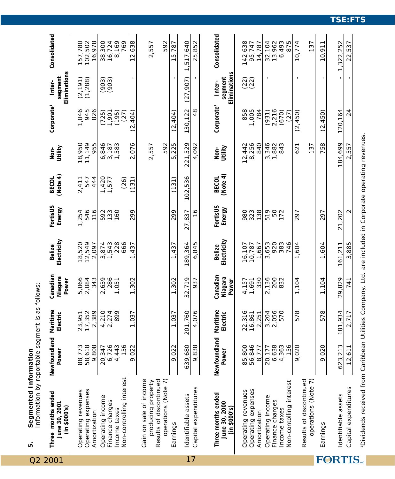| Information by reportable segment is as follows:<br>Segmented Information<br>Ю                        |                                 |                           |                              |                                |                     |                            |                                |                                 |                                   |                                  |
|-------------------------------------------------------------------------------------------------------|---------------------------------|---------------------------|------------------------------|--------------------------------|---------------------|----------------------------|--------------------------------|---------------------------------|-----------------------------------|----------------------------------|
| Three months ended<br>June 30, 2001<br>(in \$000's)                                                   | Newfoundland<br>Power           | Maritime<br>Electric      | Canadian<br>Niagara<br>Power | Electricity<br><b>Belize</b>   | FortisUS<br>Energy  | (Note 4)<br><b>BECOL</b>   | Utility<br>Non-                | Corporate <sup>1</sup>          | Eliminations<br>segment<br>Inter- | Consolidated                     |
| Operating expenses<br>Operating revenues<br>Amortization                                              | 88,773<br>58,618<br>9,808       | 17,352<br>2,389<br>23,951 | 5,066<br>2,084<br>343        | 18,520<br>12,549<br>2,097      | 546<br>116<br>1,254 | 547<br>444<br>2,411        | 18,950<br>11,149<br>955        | 1,046<br>945<br>826             | (2, 191)<br>(1,288)               | 157,780<br>102,502<br>16,978     |
| Operating income<br>Finance charges<br>Income taxes                                                   | 6,726<br>4,443<br>156<br>20,347 | 4,210<br>2,274<br>899     | 286<br>2,639<br>1,051        | 228<br>$3,874$<br>1,543<br>666 | 133<br>592<br>160   | $1,420$<br>$1,577$<br>(26) | 6,846<br>3,187<br>1,583        | (195)<br>(725)<br>1,901<br>(27) | $(903)$<br>$(903)$                | 8,169<br>769<br>38,300<br>16,724 |
| Non-controlling interest                                                                              | 9,022                           | 1,037                     | 1,302                        | 437<br>$\overline{ }$          | 299                 | (131)                      | 076<br>$\overline{\mathsf{N}}$ | (2,404)                         | $\mathbf I$                       | 12,638                           |
| Results of discontinued<br>operations (Note 7)<br>Gain on sale of income<br>producing property        |                                 |                           |                              |                                |                     |                            | 592<br>2,557                   |                                 |                                   | 592<br>2,557                     |
| Earnings                                                                                              | 9,022                           | 1,037                     | 1,302                        | 1,437                          | 299                 | (131)                      | ,225<br>نما                    | (2, 404)                        |                                   | 15,787                           |
| Identifiable assets                                                                                   | 639,680                         | 201,760                   | 32,719                       | 189,364                        | 27,837              | 102,536                    | 221,529                        | 130, 122                        | (27, 907)                         | 1,517,640                        |
| Capital expenditures                                                                                  | 9,838                           | 4,076                     | 937                          | 6,845                          | $\frac{6}{1}$       |                            | 4,092                          | 48                              |                                   | 25,852                           |
| Three months ended<br>June 30, 2000<br>(in \$000's)                                                   | Newfoundland<br>Power           | Maritime<br>Electric      | Canadian<br>Niagara<br>Power | Electricity<br><b>Belize</b>   | FortisUS<br>Energy  | (Note 4)<br><b>BECOL</b>   | Utility<br>Non-                | Corporate <sup>1</sup>          | Eliminations<br>segment<br>Inter- | Consolidated                     |
| Operating expenses<br>Operating revenues<br>Amortization                                              | 56,846<br>85,800<br>8,777       | 22,316<br>16,861<br>2,251 | 330<br>4, 157<br>1, 691      | 16,107<br>10,787<br>1,667      | 980<br>323          |                            | 8,256<br>12,442<br>840         | 858<br>1,005<br>784             | (22)                              | 142,638<br>95,747<br>14,787      |
| Non-contolling interest<br>Operating income<br>Finance charges<br>Income taxes                        | 6,638<br>4,363<br>156<br>20,177 | 3,204<br>2,056<br>570     | 2,136<br>200<br>832          | 920<br>383<br>3,653<br>746     | 519<br>50<br>172    |                            | 3,346<br>1,882<br>843          | 2,216<br>(931)<br>(670)<br>(27) | ı                                 | 13,962<br>6,493<br>875<br>32,104 |
| $\widehat{\phantom{a}}$<br>Results of discontinued<br>operations (Note                                | 9,020                           | 578                       | 1,104                        | 1,604                          | 297                 |                            | 621<br>137                     | (2, 450)                        |                                   | 10,774<br>137                    |
| Earnings                                                                                              | 9,020                           | 578                       | 1,104                        | 1,604                          | 297                 |                            | 758                            | (2, 450)                        |                                   | 10,911                           |
| dentifiable assets                                                                                    | 623,213                         | 181,934                   | 29,829                       | 161.211                        | 21,202              |                            | 184,699                        | 120,164                         |                                   | 1,322,252                        |
| Capital expenditures                                                                                  | 12,611                          | 2,717                     | 741                          | 3,885                          | $\mathbf  \Omega$   |                            | 2,557                          | 24                              |                                   | 22,537                           |
| Dividends received from Caribbean Utilities Company Ltd. are included in Corporate operating revenues |                                 |                           |                              |                                |                     |                            |                                |                                 |                                   |                                  |

17

1Dividends received from Caribbean Utilities Company, Ltd. are included in Corporate operating revenues.

Q2 2001

FORTIS.

**TSE:FTS**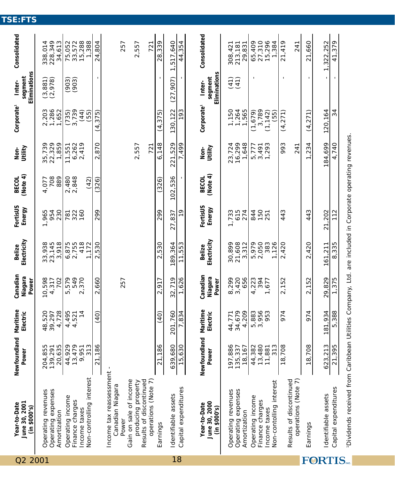| Q2   | June 30, 2001<br>Year-to-Date<br>(in \$000's)                                                           | Newfoundland<br>Power | Maritime<br>Electric | Canadian<br>Niagara<br>Power | Electricity<br>Belize | FortisUS<br>Energy | BECOL<br>(Note 4) | Non-<br>Utility | Corporate <sup>1</sup> | Eliminations<br>segment<br>Inter- | Consolidated               |
|------|---------------------------------------------------------------------------------------------------------|-----------------------|----------------------|------------------------------|-----------------------|--------------------|-------------------|-----------------|------------------------|-----------------------------------|----------------------------|
| 2001 | Operating revenues                                                                                      | 204,855               | 48,520               | 10,598                       |                       | 1,965              | 4,077             | 35,739          | 2,203                  |                                   | 338,014                    |
|      | Operating expenses                                                                                      | 139,291               | 39,297               | 4,317                        | 33,938<br>23,145      | 954                | 708               | 22,329          | 1,286<br>1,652         | $(3, 881)$<br>$(2, 978)$          | 228,349                    |
|      | Amortization                                                                                            | 20,635                | 4,728                | 702                          | 3,918                 | 230                | 889               | 1,859           |                        |                                   | 34,613                     |
|      | Operating income                                                                                        | 44,929                | 4,495                | 579<br>ம்                    |                       | 781                | 2,480             | 11,551          | $(735)$<br>$3,739$     |                                   |                            |
|      | Finance charges                                                                                         | 13,479                | 4,521                | 549                          | 6,875<br>2,755        | 322                | 2,848             | 6,262           |                        | $(903)$<br>$(903)$                | 75,052<br>33,572<br>15,288 |
|      | Income taxes                                                                                            | 9,951                 | $\frac{4}{3}$        | 370<br>$\sim$                | 418                   | 160                |                   | 2,419           | (44)                   |                                   |                            |
|      | Non-controlling interest                                                                                | 313                   |                      |                              | 1.172                 |                    | (42)              |                 | (55)                   |                                   | 388                        |
|      |                                                                                                         | 21,186                | (40)                 | ,660<br>$\sim$               | 2,530                 | 299                | (326)             | 870<br>$\sim$   | (4, 375)               |                                   | ,804<br>24,                |
|      | Canadian Niagara<br>Income tax reassessr                                                                | nent                  |                      |                              |                       |                    |                   |                 |                        |                                   |                            |
|      | Power                                                                                                   |                       |                      | 257                          |                       |                    |                   |                 |                        |                                   | 257                        |
|      | Ф<br>Gain on sale of incom                                                                              |                       |                      |                              |                       |                    |                   |                 |                        |                                   |                            |
|      | producing property<br>Results of discontinued                                                           |                       |                      |                              |                       |                    |                   | 2,557           |                        |                                   | 2,557                      |
|      | $\widehat{\kappa}$<br>operations (Note                                                                  |                       |                      |                              |                       |                    |                   | 721             |                        |                                   | 721                        |
|      | Earnings                                                                                                | 21,186                | (40)                 | 2,917                        | 2,530                 | 299                | (326)             | 6,148           | (4, 375)               |                                   | 28,339                     |
|      | Identifiable assets                                                                                     | 639,680               | 201,760              | 32,719                       | 189,364               | 27,837             | 102,536           | 221,529         | 130,122                | (27, 907)                         | 517,640                    |
| 18   | Capital expenditures                                                                                    | 15,630                | 7,834                | 1,626                        | 11,553                | $\frac{0}{1}$      |                   | 7,499           | 193                    |                                   | 44,354                     |
|      |                                                                                                         |                       |                      |                              |                       |                    |                   |                 |                        |                                   |                            |
|      | Year-to-Date                                                                                            | Newfoundland          | Maritime             | Canadian                     | <b>Belize</b>         | FortisUS           | <b>BECOL</b>      | Non-<br>Utility | Corporate <sup>1</sup> | Inter-                            | Consolidated               |
|      | June 30, 2000<br>(in \$000's)                                                                           | Power                 | Electric             | Niagara<br>Power             | Electricity           | Energy             | (Note 4)          |                 |                        | Eliminations<br>segment           |                            |
|      | Operating revenues                                                                                      | 197,886               | 44,771               |                              | 30,899                | 1,733              |                   | 23,724          | 1,150                  |                                   | 308,421                    |
|      | Operating expenses                                                                                      | 135,337               | 34,679               | 8,299<br>3,420               | 21,608                | 615                |                   | 16,299          | 1,264                  | (41)<br>(41)                      | 213,181                    |
|      | Amortization                                                                                            | 18,167                | 4,209                | 656                          | 3,312                 | 274                |                   | 1,648           | 1,565                  |                                   | 29,831                     |
|      | Operating income                                                                                        | 44,382                | 5,883                | 4,223                        | 5,979                 | 844                |                   | 5,777           | (1,679)                |                                   | 65,409                     |
|      | Finance charges                                                                                         | 13,480                | 3,956<br>953         | 394                          | 2,050                 | <b>150</b><br>251  |                   | 3,491           | 3,789                  |                                   | 27,310                     |
|      | Non-contolling interest<br>Income taxes                                                                 | 313<br>11,881         |                      | 677                          | 383<br>,126           |                    |                   | 1,293           | (1, 142)<br>(55)       |                                   | 15,296<br>1,384            |
|      |                                                                                                         | 18,708                | 974                  | 2,152                        | 2,420                 | 443                |                   | 993             | (4, 271)               | J.                                | 21,419                     |
|      | Results of discontinued<br>$\widehat{\sim}$<br>operations (Note                                         |                       |                      |                              |                       |                    |                   | 241             |                        |                                   | 241                        |
|      |                                                                                                         |                       |                      |                              |                       |                    |                   |                 |                        |                                   |                            |
|      | Earnings                                                                                                | 18,708                | 974                  | 2,152                        | 2,420                 | 443                |                   | 1,234           | (4,271)                |                                   | 21,660                     |
|      | Identifiable assets                                                                                     | 623,213               | 181,934              | 29,829                       | 161,211               | 21,202             |                   | 184,699         | 120,164                |                                   | 322,252<br>$\overline{a}$  |
|      | Capital expenditures                                                                                    | 21,395                | 5,388                | 1,375                        | 8,335                 | 112                |                   | 4.740           | 34                     |                                   | 41,379                     |
|      | Dividends received from Caribbean Utilities Company, Ltd. are included in Corporate operating revenues. |                       |                      |                              |                       |                    |                   |                 |                        |                                   |                            |

Dividends received from Caribbean Utilities Compary, Ltd. are inclusional proportion coperating revenues. 1Dividends received from Caribbean Utilities Company, Ltd. are included in Corporate operating revenues.

# **TSE:FTS**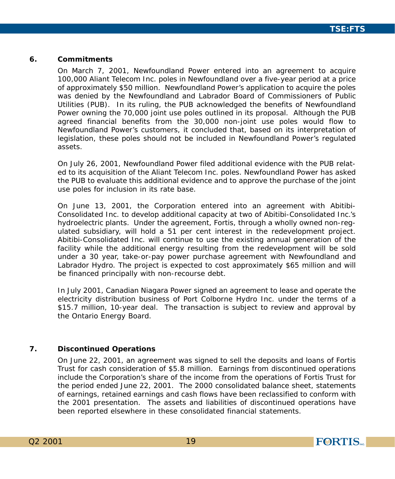#### **6. Commitments**

On March 7, 2001, Newfoundland Power entered into an agreement to acquire 100,000 Aliant Telecom Inc. poles in Newfoundland over a five-year period at a price of approximately \$50 million. Newfoundland Power's application to acquire the poles was denied by the Newfoundland and Labrador Board of Commissioners of Public Utilities (PUB). In its ruling, the PUB acknowledged the benefits of Newfoundland Power owning the 70,000 joint use poles outlined in its proposal. Although the PUB agreed financial benefits from the 30,000 non-joint use poles would flow to Newfoundland Power's customers, it concluded that, based on its interpretation of legislation, these poles should not be included in Newfoundland Power's regulated assets.

On July 26, 2001, Newfoundland Power filed additional evidence with the PUB related to its acquisition of the Aliant Telecom Inc. poles. Newfoundland Power has asked the PUB to evaluate this additional evidence and to approve the purchase of the joint use poles for inclusion in its rate base.

On June 13, 2001, the Corporation entered into an agreement with Abitibi-Consolidated Inc. to develop additional capacity at two of Abitibi-Consolidated Inc.'s hydroelectric plants. Under the agreement, Fortis, through a wholly owned non-regulated subsidiary, will hold a 51 per cent interest in the redevelopment project. Abitibi-Consolidated Inc. will continue to use the existing annual generation of the facility while the additional energy resulting from the redevelopment will be sold under a 30 year, take-or-pay power purchase agreement with Newfoundland and Labrador Hydro. The project is expected to cost approximately \$65 million and will be financed principally with non-recourse debt.

In July 2001, Canadian Niagara Power signed an agreement to lease and operate the electricity distribution business of Port Colborne Hydro Inc. under the terms of a \$15.7 million, 10-year deal. The transaction is subject to review and approval by the Ontario Energy Board.

#### **7. Discontinued Operations**

On June 22, 2001, an agreement was signed to sell the deposits and loans of Fortis Trust for cash consideration of \$5.8 million. Earnings from discontinued operations include the Corporation's share of the income from the operations of Fortis Trust for the period ended June 22, 2001. The 2000 consolidated balance sheet, statements of earnings, retained earnings and cash flows have been reclassified to conform with the 2001 presentation. The assets and liabilities of discontinued operations have been reported elsewhere in these consolidated financial statements.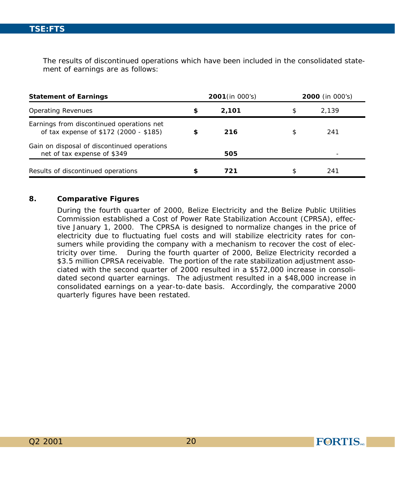The results of discontinued operations which have been included in the consolidated statement of earnings are as follows:

| <b>Statement of Earnings</b>                                                        |    | 2001 (in 000's) |    | <b>2000</b> (in 000's) |  |
|-------------------------------------------------------------------------------------|----|-----------------|----|------------------------|--|
| <b>Operating Revenues</b>                                                           | \$ | 2.101           | \$ | 2.139                  |  |
| Earnings from discontinued operations net<br>of tax expense of \$172 (2000 - \$185) | S  | 216             | \$ | 241                    |  |
| Gain on disposal of discontinued operations<br>net of tax expense of \$349          |    | 505             |    |                        |  |
| Results of discontinued operations                                                  |    | 721             | \$ | 241                    |  |

#### **8. Comparative Figures**

During the fourth quarter of 2000, Belize Electricity and the Belize Public Utilities Commission established a Cost of Power Rate Stabilization Account (CPRSA), effective January 1, 2000. The CPRSA is designed to normalize changes in the price of electricity due to fluctuating fuel costs and will stabilize electricity rates for consumers while providing the company with a mechanism to recover the cost of electricity over time. During the fourth quarter of 2000, Belize Electricity recorded a \$3.5 million CPRSA receivable. The portion of the rate stabilization adjustment associated with the second quarter of 2000 resulted in a \$572,000 increase in consolidated second quarter earnings. The adjustment resulted in a \$48,000 increase in consolidated earnings on a year-to-date basis. Accordingly, the comparative 2000 quarterly figures have been restated.

**FORTIS**